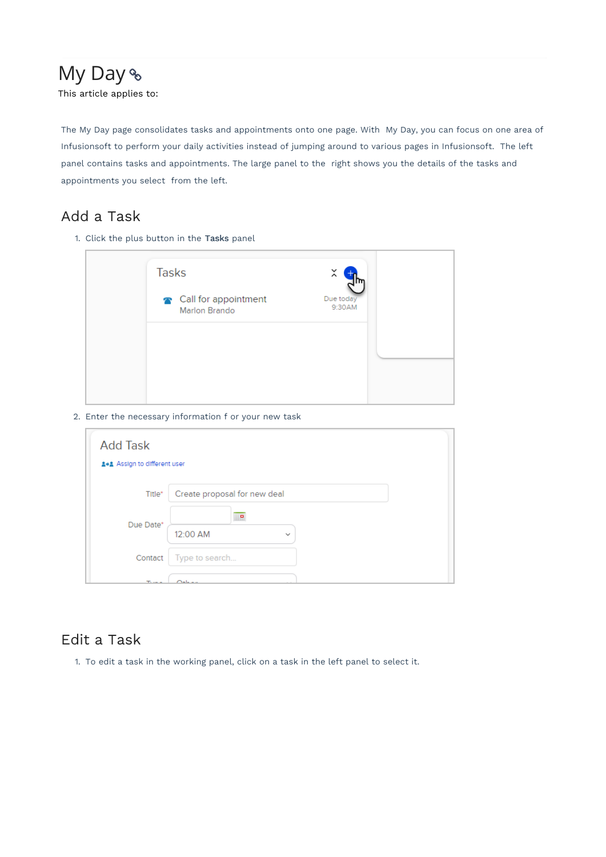# My Day % This article applies to:

The My Day page consolidates tasks and appointments onto one page. With My Day, you can focus on one area of Infusionsoft to perform your daily activities instead of jumping around to various pages in Infusionsoft. The left panel contains tasks and appointments. The large panel to the right shows you the details of the tasks and appointments you select from the left.

# Add a Task

1. Click the plus button in the Tasks panel

| <b>Tasks</b>                          | ×                   |  |
|---------------------------------------|---------------------|--|
| Call for appointment<br>Marlon Brando | Due today<br>9:30AM |  |
|                                       |                     |  |
|                                       |                     |  |
|                                       |                     |  |

2. Enter the necessary information f or your new task

| <b>Add Task</b>          |                              |              |  |  |
|--------------------------|------------------------------|--------------|--|--|
| Assign to different user |                              |              |  |  |
| Title*                   | Create proposal for new deal |              |  |  |
| Due Date*                | P.                           |              |  |  |
|                          | 12:00 AM                     | $\checkmark$ |  |  |
| Contact                  | Type to search               |              |  |  |
| $T_{\rm{max}}$           | حاءت                         |              |  |  |

## Edit a Task

1. To edit a task in the working panel, click on a task in the left panel to select it.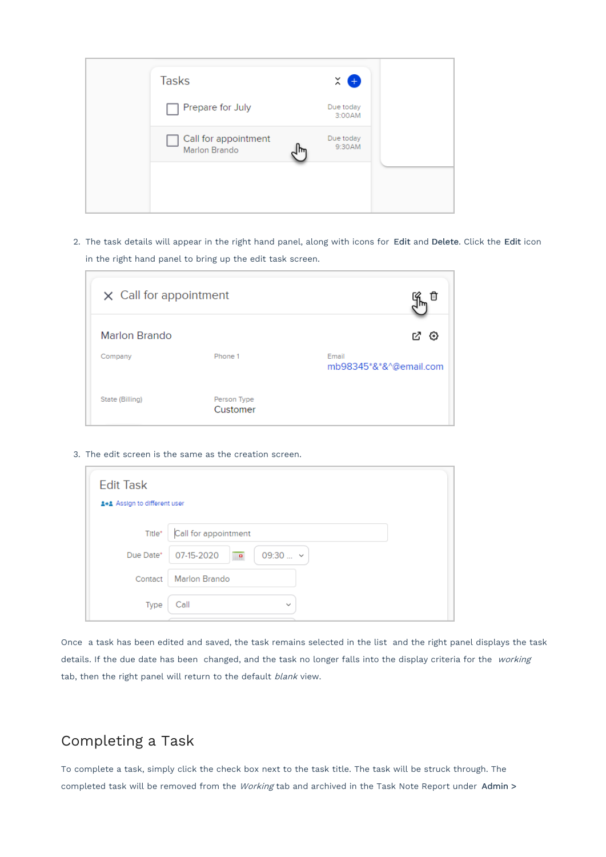| <b>Tasks</b>                          | $\times$ 0          |  |
|---------------------------------------|---------------------|--|
| Prepare for July<br>H                 | Due today<br>3:00AM |  |
| Call for appointment<br>Marlon Brando | Due today<br>9:30AM |  |
|                                       |                     |  |

2. The task details will appear in the right hand panel, along with icons for Edit and Delete. Click the Edit icon in the right hand panel to bring up the edit task screen.

| $\times$ Call for appointment |                         |                                 |
|-------------------------------|-------------------------|---------------------------------|
| <b>Marlon Brando</b>          |                         | M<br>₩                          |
| Company                       | Phone 1                 | Email<br>mb98345*&*&^@email.com |
| State (Billing)               | Person Type<br>Customer |                                 |

3. The edit screen is the same as the creation screen.

| <b>Edit Task</b><br>Assign to different user |                                                |
|----------------------------------------------|------------------------------------------------|
| Title*                                       | Call for appointment                           |
| Due Date*                                    | 07-15-2020<br>$09:30$ $\sim$<br>$\blacksquare$ |
| Contact                                      | <b>Marlon Brando</b>                           |
| Type                                         | Call<br>$\checkmark$                           |

Once a task has been edited and saved, the task remains selected in the list and the right panel displays the task details. If the due date has been changed, and the task no longer falls into the display criteria for the working tab, then the right panel will return to the default blank view.

### Completing a Task

Г

To complete a task, simply click the check box next to the task title. The task will be struck through. The completed task will be removed from the Working tab and archived in the Task Note Report under Admin >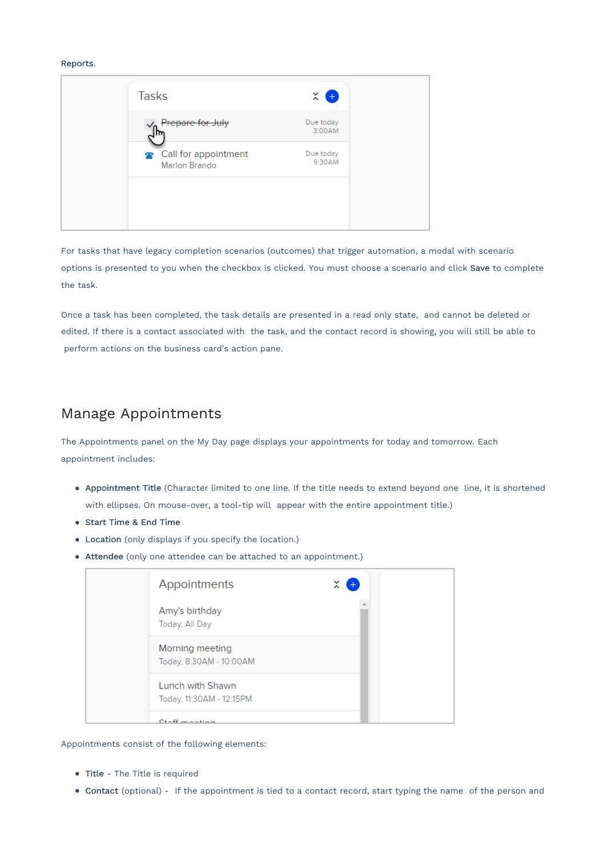#### Reports.



For tasks that have legacy completion scenarios (outcomes) that trigger automation, a modal with scenario options is presented to you when the checkbox is clicked. You must choose a scenario and click Save to complete the task.

Once a task has been completed, the task details are presented in a read only state, and cannot be deleted or edited. If there is a contact associated with the task, and the contact record is showing, you will still be able to perform actions on the business card's action pane.

#### Manage Appointments

The Appointments panel on the My Day page displays your appointments for today and tomorrow. Each appointment includes:

- Appointment Title (Character limited to one line. If the title needs to extend beyond one line, it is shortened with ellipses. On mouse-over, a tool-tip will appear with the entire appointment title.)
- Start Time & End Time
- Location (only displays if you specify the location.)
- Attendee (only one attendee can be attached to an appointment.)

| Appointments                                 | $\times$ $\bullet$ |  |
|----------------------------------------------|--------------------|--|
| Amy's birthday<br>Today, All Day             |                    |  |
| Morning meeting<br>Today, 8:30AM - 10:00AM   |                    |  |
| Lunch with Shawn<br>Today, 11:30AM - 12:15PM |                    |  |
| Ctaff monting                                |                    |  |

Appointments consist of the following elements:

- Title The Title is required
- Contact (optional) If the appointment is tied to a contact record, start typing the name of the person and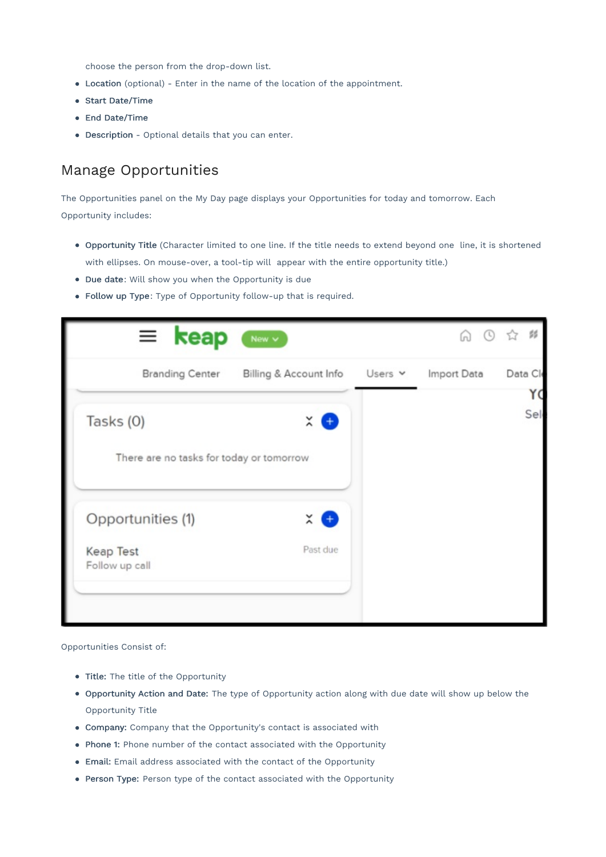choose the person from the drop-down list.

- Location (optional) Enter in the name of the location of the appointment.
- Start Date/Time
- End Date/Time
- Description Optional details that you can enter.

#### Manage Opportunities

The Opportunities panel on the My Day page displays your Opportunities for today and tomorrow. Each Opportunity includes:

- Opportunity Title (Character limited to one line. If the title needs to extend beyond one line, it is shortened with ellipses. On mouse-over, a tool-tip will appear with the entire opportunity title.)
- Due date: Will show you when the Opportunity is due
- Follow up Type: Type of Opportunity follow-up that is required.



Opportunities Consist of:

- Title: The title of the Opportunity
- Opportunity Action and Date: The type of Opportunity action along with due date will show up below the Opportunity Title
- Company: Company that the Opportunity's contact is associated with
- Phone 1: Phone number of the contact associated with the Opportunity
- Email: Email address associated with the contact of the Opportunity
- Person Type: Person type of the contact associated with the Opportunity